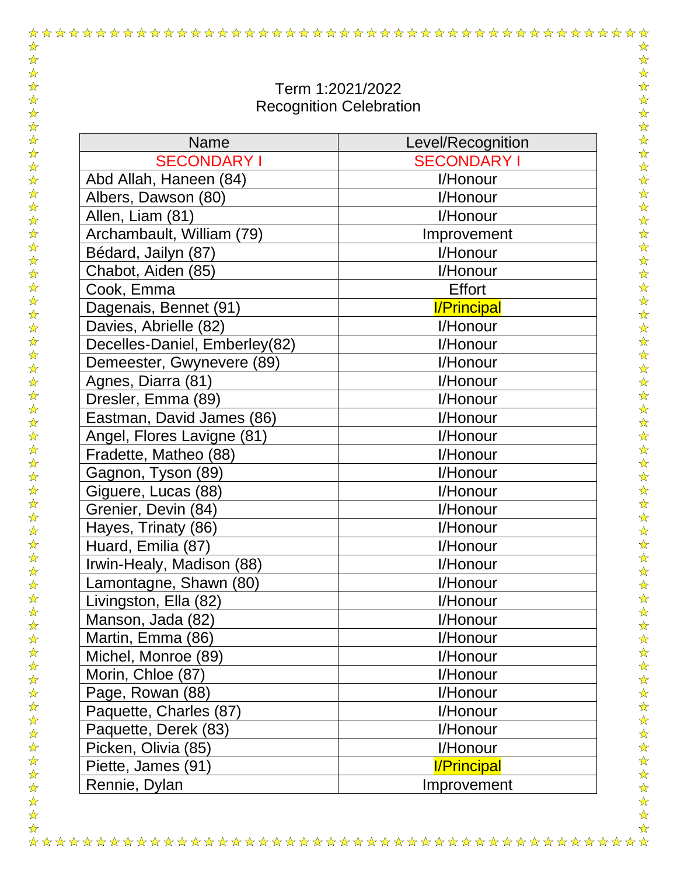| Term 1:2021/2022<br><b>Recognition Celebration</b> |                    |
|----------------------------------------------------|--------------------|
| Name                                               | Level/Recognition  |
| <b>SECONDARY I</b>                                 | <b>SECONDARY I</b> |
| Abd Allah, Haneen (84)                             | I/Honour           |
| Albers, Dawson (80)                                | I/Honour           |
| Allen, Liam (81)                                   | I/Honour           |
| Archambault, William (79)                          | Improvement        |
| Bédard, Jailyn (87)                                | I/Honour           |
| Chabot, Aiden (85)                                 | I/Honour           |
| Cook, Emma                                         | <b>Effort</b>      |
| Dagenais, Bennet (91)                              | <b>I/Principal</b> |
| Davies, Abrielle (82)                              | I/Honour           |
| Decelles-Daniel, Emberley(82)                      | I/Honour           |
| Demeester, Gwynevere (89)                          | I/Honour           |
| Agnes, Diarra (81)                                 | I/Honour           |
| Dresler, Emma (89)                                 | I/Honour           |
| Eastman, David James (86)                          | I/Honour           |
| Angel, Flores Lavigne (81)                         | I/Honour           |
| Fradette, Matheo (88)                              | I/Honour           |
| Gagnon, Tyson (89)                                 | I/Honour           |
| Giguere, Lucas (88)                                | I/Honour           |
| Grenier, Devin (84)                                | I/Honour           |
| Hayes, Trinaty (86)                                | I/Honour           |
| Huard, Emilia (87)                                 | I/Honour           |
| Irwin-Healy, Madison (88)                          | I/Honour           |
| Lamontagne, Shawn (80)                             | I/Honour           |
| Livingston, Ella (82)                              | I/Honour           |
| Manson, Jada (82)                                  | I/Honour           |
| Martin, Emma (86)                                  | I/Honour           |
| Michel, Monroe (89)                                | I/Honour           |
| Morin, Chloe (87)                                  | I/Honour           |
| Page, Rowan (88)                                   | I/Honour           |
| Paquette, Charles (87)                             | I/Honour           |
| Paquette, Derek (83)                               | I/Honour           |
| Picken, Olivia (85)                                | I/Honour           |
| Piette, James (91)                                 | <b>I/Principal</b> |
| Rennie, Dylan                                      | Improvement        |

☆  $\frac{1}{\mathcal{N}}$ 

☆☆☆☆☆☆☆☆☆☆☆☆☆☆☆☆☆☆☆☆

☆☆☆☆☆☆☆☆

 $\frac{1}{\mathcal{N}}$ 

 $\frac{1}{\sqrt{2}}$ 计毕

卒

 $\frac{1}{\sqrt{2}}$ 

\*\*

2万万元

 $\frac{1}{\sqrt{2}}$ 

55年

2岁好好

 $\frac{1}{\sqrt{2}}$  $\frac{1}{\mathbf{k}}$ 

54年

 $\frac{1}{\sqrt{2}}$ 

 $\frac{1}{\sqrt{2}}$ 

☆☆☆☆☆☆☆☆

 $\frac{1}{\mathcal{N}}$ 

 $\frac{1}{\sqrt{2}}$ 

 $\frac{1}{2}$ 

 $\frac{1}{\sqrt{2}}$  $\frac{1}{\sqrt{2}}$ 

 $\frac{1}{\sqrt{2}}$  $\frac{1}{\sqrt{2}}$ 

 $\frac{1}{2}$  $\frac{1}{\sqrt{2}}$  $\frac{1}{\sqrt{2}}$ 

22242

 $\frac{1}{\sqrt{2}}$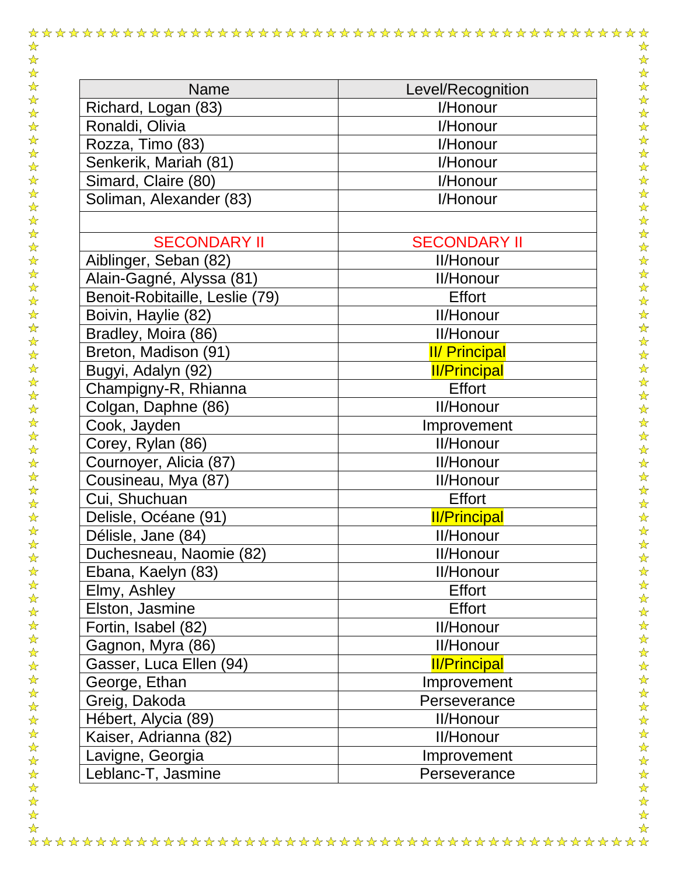| <b>Name</b>                    | Level/Recognition    |
|--------------------------------|----------------------|
| Richard, Logan (83)            | I/Honour             |
| Ronaldi, Olivia                | I/Honour             |
| Rozza, Timo (83)               | I/Honour             |
| Senkerik, Mariah (81)          | I/Honour             |
| Simard, Claire (80)            | I/Honour             |
| Soliman, Alexander (83)        | I/Honour             |
|                                |                      |
| <b>SECONDARY II</b>            | <b>SECONDARY II</b>  |
| Aiblinger, Seban (82)          | <b>II/Honour</b>     |
| Alain-Gagné, Alyssa (81)       | <b>II/Honour</b>     |
| Benoit-Robitaille, Leslie (79) | <b>Effort</b>        |
| Boivin, Haylie (82)            | <b>II/Honour</b>     |
| Bradley, Moira (86)            | <b>II/Honour</b>     |
| Breton, Madison (91)           | <b>II/ Principal</b> |
| Bugyi, Adalyn (92)             | <b>II/Principal</b>  |
| Champigny-R, Rhianna           | <b>Effort</b>        |
| Colgan, Daphne (86)            | <b>II/Honour</b>     |
| Cook, Jayden                   | Improvement          |
| Corey, Rylan (86)              | <b>II/Honour</b>     |
| Cournoyer, Alicia (87)         | <b>II/Honour</b>     |
| Cousineau, Mya (87)            | <b>II/Honour</b>     |
| Cui, Shuchuan                  | <b>Effort</b>        |
| Delisle, Océane (91)           | <b>II/Principal</b>  |
| Délisle, Jane (84)             | <b>II/Honour</b>     |
| Duchesneau, Naomie (82)        | <b>II/Honour</b>     |
| Ebana, Kaelyn (83)             | <b>II/Honour</b>     |
| Elmy, Ashley                   | <b>Effort</b>        |
| Elston, Jasmine                | <b>Effort</b>        |
| Fortin, Isabel (82)            | <b>II/Honour</b>     |
| Gagnon, Myra (86)              | <b>II/Honour</b>     |
| Gasser, Luca Ellen (94)        | <b>II/Principal</b>  |
| George, Ethan                  | Improvement          |
| Greig, Dakoda                  | Perseverance         |
| Hébert, Alycia (89)            | <b>II/Honour</b>     |
| Kaiser, Adrianna (82)          | <b>II/Honour</b>     |
| Lavigne, Georgia               | Improvement          |
| Leblanc-T, Jasmine             | Perseverance         |
|                                |                      |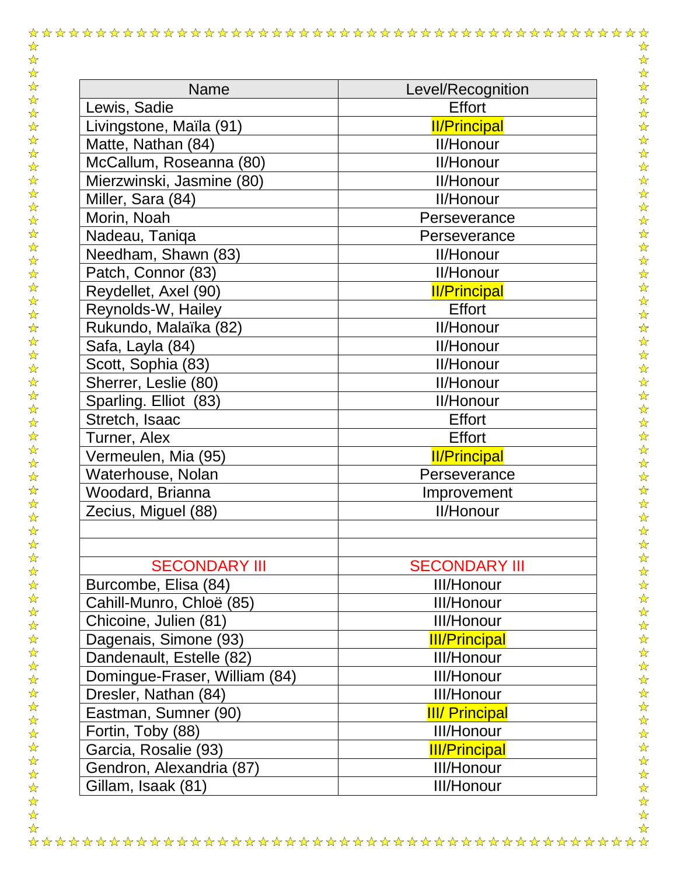| Name                          | Level/Recognition     |
|-------------------------------|-----------------------|
| Lewis, Sadie                  | <b>Effort</b>         |
| Livingstone, Maïla (91)       | <b>II/Principal</b>   |
| Matte, Nathan (84)            | <b>II/Honour</b>      |
| McCallum, Roseanna (80)       | <b>II/Honour</b>      |
| Mierzwinski, Jasmine (80)     | <b>II/Honour</b>      |
| Miller, Sara (84)             | <b>II/Honour</b>      |
| Morin, Noah                   | Perseverance          |
| Nadeau, Taniqa                | Perseverance          |
| Needham, Shawn (83)           | <b>II/Honour</b>      |
| Patch, Connor (83)            | <b>II/Honour</b>      |
| Reydellet, Axel (90)          | <b>II/Principal</b>   |
| Reynolds-W, Hailey            | <b>Effort</b>         |
| Rukundo, Malaïka (82)         | <b>II/Honour</b>      |
| Safa, Layla (84)              | <b>II/Honour</b>      |
| Scott, Sophia (83)            | <b>II/Honour</b>      |
| Sherrer, Leslie (80)          | <b>II/Honour</b>      |
| Sparling. Elliot (83)         | <b>II/Honour</b>      |
| Stretch, Isaac                | <b>Effort</b>         |
| Turner, Alex                  | <b>Effort</b>         |
| Vermeulen, Mia (95)           | <b>II/Principal</b>   |
| Waterhouse, Nolan             | Perseverance          |
| Woodard, Brianna              | Improvement           |
| Zecius, Miguel (88)           | II/Honour             |
|                               |                       |
|                               |                       |
| <b>SECONDARY III</b>          | <b>SECONDARY III</b>  |
| Burcombe, Elisa (84)          | <b>III/Honour</b>     |
| Cahill-Munro, Chloë (85)      | <b>III/Honour</b>     |
| Chicoine, Julien (81)         | <b>III/Honour</b>     |
| Dagenais, Simone (93)         | <b>III/Principal</b>  |
| Dandenault, Estelle (82)      | III/Honour            |
| Domingue-Fraser, William (84) | <b>III/Honour</b>     |
| Dresler, Nathan (84)          | III/Honour            |
| Eastman, Sumner (90)          | <b>III/ Principal</b> |
| Fortin, Toby (88)             | <b>III/Honour</b>     |
| Garcia, Rosalie (93)          | <b>III/Principal</b>  |
| Gendron, Alexandria (87)      | <b>III/Honour</b>     |
| Gillam, Isaak (81)            | <b>III/Honour</b>     |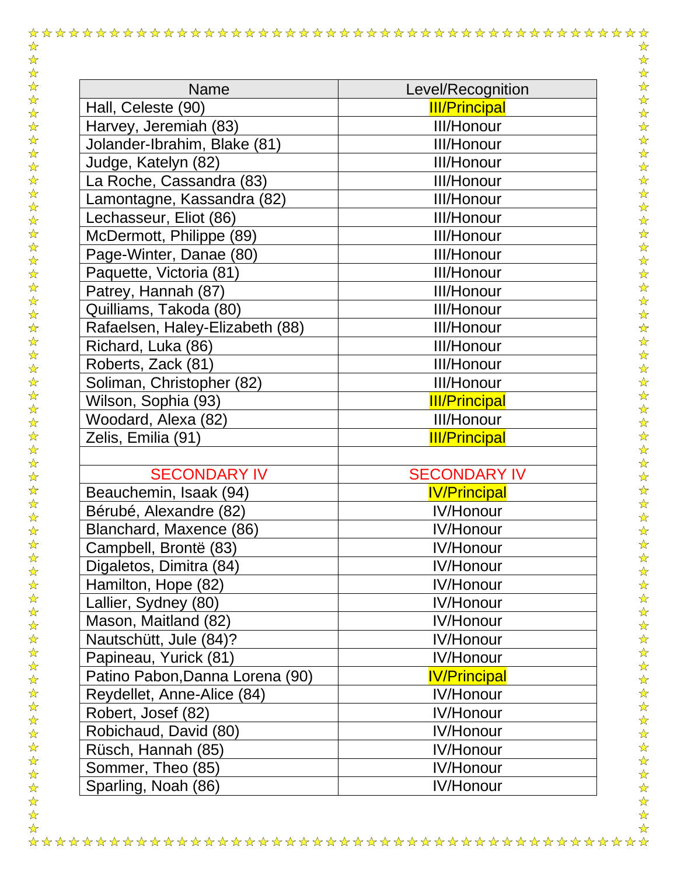| <b>Name</b>                     | Level/Recognition    |
|---------------------------------|----------------------|
| Hall, Celeste (90)              | <b>III/Principal</b> |
| Harvey, Jeremiah (83)           | <b>III/Honour</b>    |
| Jolander-Ibrahim, Blake (81)    | <b>III/Honour</b>    |
| Judge, Katelyn (82)             | <b>III/Honour</b>    |
| La Roche, Cassandra (83)        | <b>III/Honour</b>    |
| Lamontagne, Kassandra (82)      | <b>III/Honour</b>    |
| Lechasseur, Eliot (86)          | <b>III/Honour</b>    |
| McDermott, Philippe (89)        | <b>III/Honour</b>    |
| Page-Winter, Danae (80)         | <b>III/Honour</b>    |
| Paquette, Victoria (81)         | <b>III/Honour</b>    |
| Patrey, Hannah (87)             | <b>III/Honour</b>    |
| Quilliams, Takoda (80)          | <b>III/Honour</b>    |
| Rafaelsen, Haley-Elizabeth (88) | <b>III/Honour</b>    |
| Richard, Luka (86)              | <b>III/Honour</b>    |
| Roberts, Zack (81)              | <b>III/Honour</b>    |
| Soliman, Christopher (82)       | <b>III/Honour</b>    |
| Wilson, Sophia (93)             | <b>III/Principal</b> |
| Woodard, Alexa (82)             | <b>III/Honour</b>    |
| Zelis, Emilia (91)              | <b>III/Principal</b> |
|                                 |                      |
| <b>SECONDARY IV</b>             | <b>SECONDARY IV</b>  |
| Beauchemin, Isaak (94)          | <b>IV/Principal</b>  |
| Bérubé, Alexandre (82)          | <b>IV/Honour</b>     |
| Blanchard, Maxence (86)         | IV/Honour            |
| Campbell, Brontë (83)           | <b>IV/Honour</b>     |
| Digaletos, Dimitra (84)         | <b>IV/Honour</b>     |
| Hamilton, Hope (82)             | <b>IV/Honour</b>     |
| Lallier, Sydney (80)            | <b>IV/Honour</b>     |
| Mason, Maitland (82)            | <b>IV/Honour</b>     |
| Nautschütt, Jule (84)?          | <b>IV/Honour</b>     |
| Papineau, Yurick (81)           | <b>IV/Honour</b>     |
| Patino Pabon, Danna Lorena (90) | <b>IV/Principal</b>  |
| Reydellet, Anne-Alice (84)      | <b>IV/Honour</b>     |
| Robert, Josef (82)              | <b>IV/Honour</b>     |
| Robichaud, David (80)           | <b>IV/Honour</b>     |
| Rüsch, Hannah (85)              | <b>IV/Honour</b>     |
| Sommer, Theo (85)               | <b>IV/Honour</b>     |
| Sparling, Noah (86)             | <b>IV/Honour</b>     |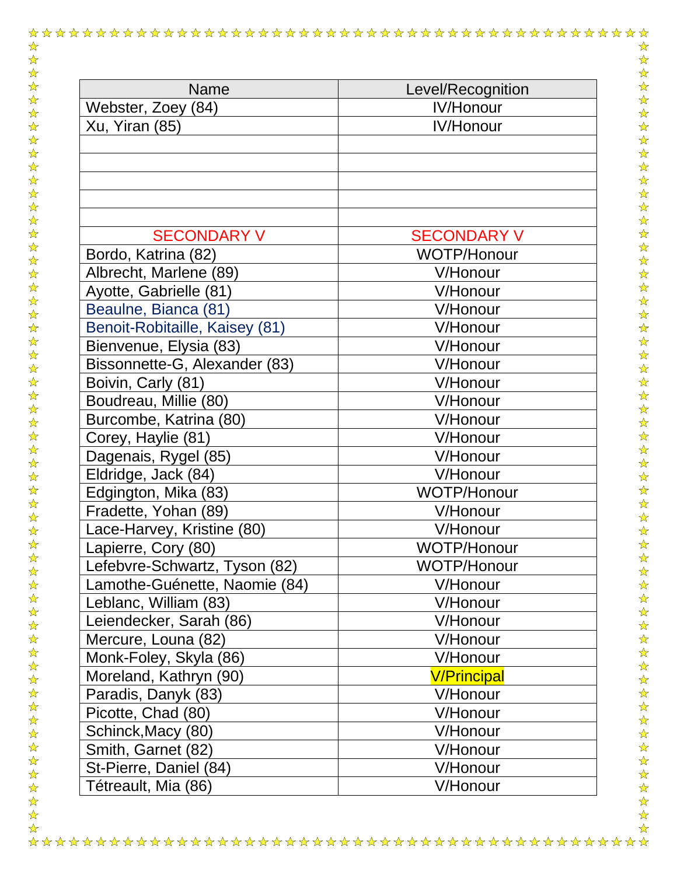| <b>Name</b>                                    | Level/Recognition              |
|------------------------------------------------|--------------------------------|
| Webster, Zoey (84)                             | <b>IV/Honour</b>               |
| Xu, Yiran (85)                                 | <b>IV/Honour</b>               |
|                                                |                                |
|                                                |                                |
| <b>SECONDARY V</b>                             | <b>SECONDARY V</b>             |
| Bordo, Katrina (82)<br>Albrecht, Marlene (89)  | <b>WOTP/Honour</b><br>V/Honour |
| Ayotte, Gabrielle (81)                         | V/Honour                       |
| Beaulne, Bianca (81)                           | V/Honour                       |
| Benoit-Robitaille, Kaisey (81)                 | V/Honour                       |
| Bienvenue, Elysia (83)                         | V/Honour                       |
| Bissonnette-G, Alexander (83)                  | V/Honour                       |
| Boivin, Carly (81)                             | V/Honour                       |
| Boudreau, Millie (80)                          | V/Honour                       |
| Burcombe, Katrina (80)                         | V/Honour                       |
| Corey, Haylie (81)                             | V/Honour                       |
| Dagenais, Rygel (85)                           | V/Honour                       |
| Eldridge, Jack (84)                            | V/Honour                       |
| Edgington, Mika (83)                           | <b>WOTP/Honour</b>             |
| Fradette, Yohan (89)                           | V/Honour                       |
| Lace-Harvey, Kristine (80)                     | V/Honour                       |
| Lapierre, Cory (80)                            | <b>WOTP/Honour</b>             |
| Lefebvre-Schwartz, Tyson (82)                  | WOTP/Honour                    |
| Lamothe-Guénette, Naomie (84)                  | V/Honour                       |
| Leblanc, William (83)                          | V/Honour<br>V/Honour           |
| Leiendecker, Sarah (86)<br>Mercure, Louna (82) | V/Honour                       |
| Monk-Foley, Skyla (86)                         | V/Honour                       |
| Moreland, Kathryn (90)                         | <b>V/Principal</b>             |
| Paradis, Danyk (83)                            | V/Honour                       |
| Picotte, Chad (80)                             | V/Honour                       |
| Schinck, Macy (80)                             | V/Honour                       |
| Smith, Garnet (82)                             | V/Honour                       |
| St-Pierre, Daniel (84)                         | V/Honour                       |
| Tétreault, Mia (86)                            | V/Honour                       |